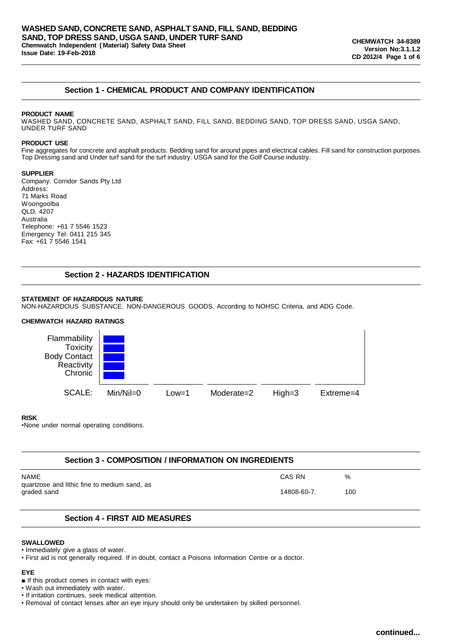# **Section 1 - CHEMICAL PRODUCT AND COMPANY IDENTIFICATION**

### **PRODUCT NAME**

WASHED SAND, CONCRETE SAND, ASPHALT SAND, FILL SAND, BEDDING SAND, TOP DRESS SAND, USGA SAND, UNDER TURF SAND

#### **PRODUCT USE**

Fine aggregates for concrete and asphalt products. Bedding sand for around pipes and electrical cables. Fill sand for construction purposes. Top Dressing sand and Under turf sand for the turf industry. USGA sand for the Golf Course industry.

### **SUPPLIER**

Company: Corridor Sands Pty Ltd Address: 71 Marks Road Woongoolba QLD, 4207 Australia Telephone: +61 7 5546 1523 Emergency Tel: 0411 215 345 Fax: +61 7 5546 1541

# **Section 2 - HAZARDS IDENTIFICATION**

### **STATEMENT OF HAZARDOUS NATURE**

NON-HAZARDOUS SUBSTANCE. NON-DANGEROUS GOODS. According to NOHSC Criteria, and ADG Code.

# **CHEMWATCH HAZARD RATINGS**



### **RISK**

•None under normal operating conditions.

## **Section 3 - COMPOSITION / INFORMATION ON INGREDIENTS**

| NAME                                                        | CAS RN      | %   |
|-------------------------------------------------------------|-------------|-----|
| quartzose and lithic fine to medium sand, as<br>graded sand | 14808-60-7. | 100 |

## **Section 4 - FIRST AID MEASURES**

### **SWALLOWED**

• Immediately give a glass of water.

• First aid is not generally required. If in doubt, contact a Poisons Information Centre or a doctor.

### **EYE**

■ If this product comes in contact with eyes:

• Wash out immediately with water.

• If irritation continues, seek medical attention.

• Removal of contact lenses after an eye injury should only be undertaken by skilled personnel.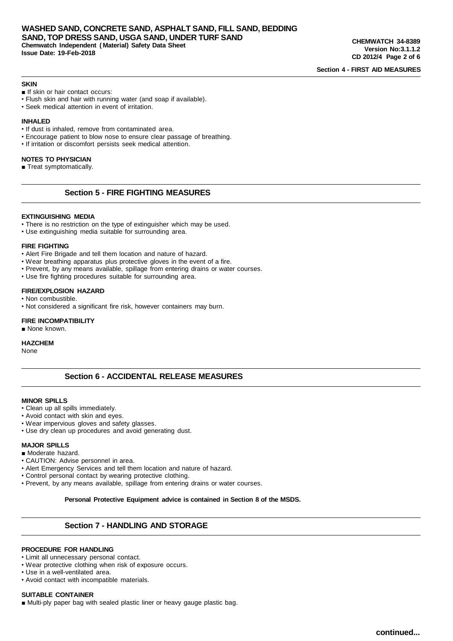**Section 4 - FIRST AID MEASURES**

#### **SKIN**

- If skin or hair contact occurs:
- Flush skin and hair with running water (and soap if available).
- Seek medical attention in event of irritation.

### **INHALED**

- If dust is inhaled, remove from contaminated area.
- Encourage patient to blow nose to ensure clear passage of breathing.
- If irritation or discomfort persists seek medical attention.

#### **NOTES TO PHYSICIAN**

■ Treat symptomatically.

# **Section 5 - FIRE FIGHTING MEASURES**

### **EXTINGUISHING MEDIA**

- There is no restriction on the type of extinguisher which may be used.
- Use extinguishing media suitable for surrounding area.

### **FIRE FIGHTING**

- Alert Fire Brigade and tell them location and nature of hazard.
- Wear breathing apparatus plus protective gloves in the event of a fire.
- Prevent, by any means available, spillage from entering drains or water courses.
- Use fire fighting procedures suitable for surrounding area.

### **FIRE/EXPLOSION HAZARD**

- Non combustible.
- Not considered a significant fire risk, however containers may burn.

### **FIRE INCOMPATIBILITY**

■ None known.

#### **HAZCHEM**

None

# **Section 6 - ACCIDENTAL RELEASE MEASURES**

#### **MINOR SPILLS**

- Clean up all spills immediately.
- Avoid contact with skin and eyes.
- Wear impervious gloves and safety glasses.
- Use dry clean up procedures and avoid generating dust.

## **MAJOR SPILLS**

- Moderate hazard.
- CAUTION: Advise personnel in area.
- Alert Emergency Services and tell them location and nature of hazard.
- Control personal contact by wearing protective clothing.
- Prevent, by any means available, spillage from entering drains or water courses.

**Personal Protective Equipment advice is contained in Section 8 of the MSDS.**

## **Section 7 - HANDLING AND STORAGE**

#### **PROCEDURE FOR HANDLING**

- Limit all unnecessary personal contact.
- Wear protective clothing when risk of exposure occurs.
- Use in a well-ventilated area.
- Avoid contact with incompatible materials.

#### **SUITABLE CONTAINER**

■ Multi-ply paper bag with sealed plastic liner or heavy gauge plastic bag.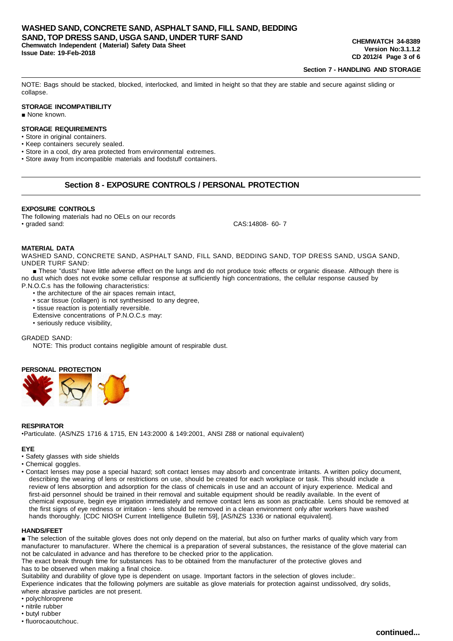**Section 7 - HANDLING AND STORAGE**

NOTE: Bags should be stacked, blocked, interlocked, and limited in height so that they are stable and secure against sliding or collapse.

### **STORAGE INCOMPATIBILITY**

■ None known.

## **STORAGE REQUIREMENTS**

- Store in original containers.
- Keep containers securely sealed.
- Store in a cool, dry area protected from environmental extremes.
- Store away from incompatible materials and foodstuff containers.

## **Section 8 - EXPOSURE CONTROLS / PERSONAL PROTECTION**

#### **EXPOSURE CONTROLS**

The following materials had no OELs on our records • graded sand: CAS:14808- 60- 7

#### **MATERIAL DATA**

WASHED SAND, CONCRETE SAND, ASPHALT SAND, FILL SAND, BEDDING SAND, TOP DRESS SAND, USGA SAND, UNDER TURF SAND:

■ These "dusts" have little adverse effect on the lungs and do not produce toxic effects or organic disease. Although there is no dust which does not evoke some cellular response at sufficiently high concentrations, the cellular response caused by P.N.O.C.s has the following characteristics:

- the architecture of the air spaces remain intact,
- scar tissue (collagen) is not synthesised to any degree,
- tissue reaction is potentially reversible.
- Extensive concentrations of P.N.O.C.s may:
- seriously reduce visibility,

### GRADED SAND:

NOTE: This product contains negligible amount of respirable dust.

# **PERSONAL PROTECTION**



#### **RESPIRATOR**

•Particulate. (AS/NZS 1716 & 1715, EN 143:2000 & 149:2001, ANSI Z88 or national equivalent)

## **EYE**

- Safety glasses with side shields
- Chemical goggles

• Contact lenses may pose a special hazard; soft contact lenses may absorb and concentrate irritants. A written policy document, describing the wearing of lens or restrictions on use, should be created for each workplace or task. This should include a review of lens absorption and adsorption for the class of chemicals in use and an account of injury experience. Medical and first-aid personnel should be trained in their removal and suitable equipment should be readily available. In the event of chemical exposure, begin eye irrigation immediately and remove contact lens as soon as practicable. Lens should be removed at the first signs of eye redness or irritation - lens should be removed in a clean environment only after workers have washed hands thoroughly. [CDC NIOSH Current Intelligence Bulletin 59], [AS/NZS 1336 or national equivalent].

### **HANDS/FEET**

■ The selection of the suitable gloves does not only depend on the material, but also on further marks of quality which vary from manufacturer to manufacturer. Where the chemical is a preparation of several substances, the resistance of the glove material can not be calculated in advance and has therefore to be checked prior to the application.

The exact break through time for substances has to be obtained from the manufacturer of the protective gloves and has to be observed when making a final choice.

Suitability and durability of glove type is dependent on usage. Important factors in the selection of gloves include:.

Experience indicates that the following polymers are suitable as glove materials for protection against undissolved, dry solids, where abrasive particles are not present.

- polychloroprene
- nitrile rubber
- butyl rubber
- fluorocaoutchouc.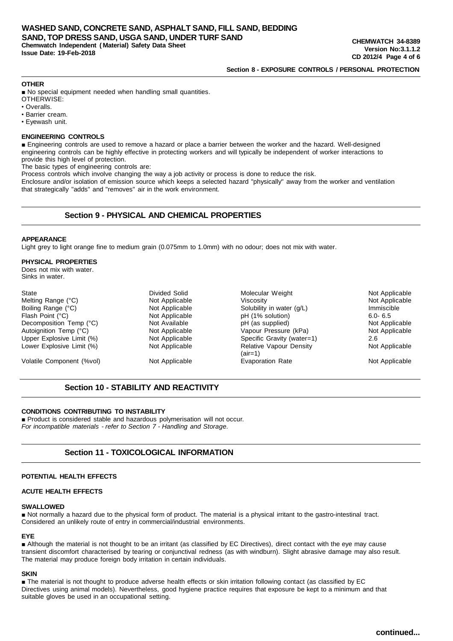# **Section 8 - EXPOSURE CONTROLS / PERSONAL PROTECTION**

#### **OTHER**

■ No special equipment needed when handling small quantities.

- OTHERWISE:
- Overalls.
- Barrier cream.
- Eyewash unit.

### **ENGINEERING CONTROLS**

■ Engineering controls are used to remove a hazard or place a barrier between the worker and the hazard. Well-designed engineering controls can be highly effective in protecting workers and will typically be independent of worker interactions to provide this high level of protection.

The basic types of engineering controls are:

Process controls which involve changing the way a job activity or process is done to reduce the risk.

Enclosure and/or isolation of emission source which keeps a selected hazard "physically" away from the worker and ventilation that strategically "adds" and "removes" air in the work environment.

# **Section 9 - PHYSICAL AND CHEMICAL PROPERTIES**

#### **APPEARANCE**

Light grey to light orange fine to medium grain (0.075mm to 1.0mm) with no odour; does not mix with water.

### **PHYSICAL PROPERTIES**

Does not mix with water. Sinks in water.

| Divided Solid  | Molecular Weight                            | Not Applicable |
|----------------|---------------------------------------------|----------------|
| Not Applicable | Viscosity                                   | Not Applicable |
| Not Applicable | Solubility in water (g/L)                   | Immiscible     |
| Not Applicable | pH (1% solution)                            | $6.0 - 6.5$    |
| Not Available  | pH (as supplied)                            | Not Applicable |
| Not Applicable | Vapour Pressure (kPa)                       | Not Applicable |
| Not Applicable | Specific Gravity (water=1)                  | 2.6            |
| Not Applicable | <b>Relative Vapour Density</b><br>$(air=1)$ | Not Applicable |
| Not Applicable | <b>Evaporation Rate</b>                     | Not Applicable |
|                |                                             |                |

# **Section 10 - STABILITY AND REACTIVITY**

# **CONDITIONS CONTRIBUTING TO INSTABILITY**

■ Product is considered stable and hazardous polymerisation will not occur. *For incompatible materials - refer to Section 7 - Handling and Storage.*

# **Section 11 - TOXICOLOGICAL INFORMATION**

### **POTENTIAL HEALTH EFFECTS**

### **ACUTE HEALTH EFFECTS**

#### **SWALLOWED**

■ Not normally a hazard due to the physical form of product. The material is a physical irritant to the gastro-intestinal tract. Considered an unlikely route of entry in commercial/industrial environments.

### **EYE**

■ Although the material is not thought to be an irritant (as classified by EC Directives), direct contact with the eye may cause transient discomfort characterised by tearing or conjunctival redness (as with windburn). Slight abrasive damage may also result. The material may produce foreign body irritation in certain individuals.

### **SKIN**

■ The material is not thought to produce adverse health effects or skin irritation following contact (as classified by EC Directives using animal models). Nevertheless, good hygiene practice requires that exposure be kept to a minimum and that suitable gloves be used in an occupational setting.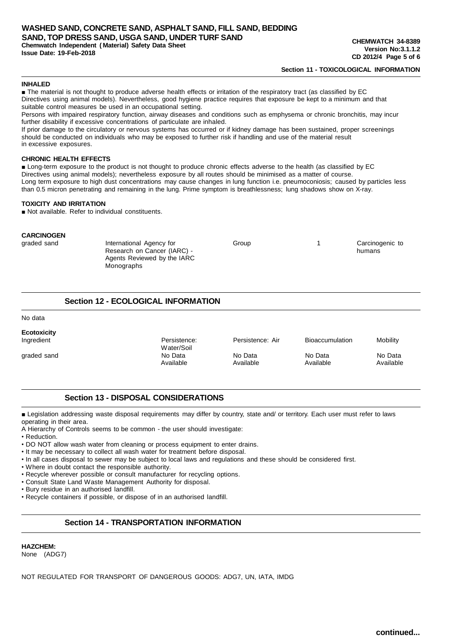**WASHED SAND, CONCRETE SAND, ASPHALT SAND, FILL SAND, BEDDING SAND, TOP DRESS SAND, USGA SAND, UNDER TURF SAND Chemwatch Independent ( Material) Safety Data Sheet Issue Date: 19-Feb-2018**

### **Section 11 - TOXICOLOGICAL INFORMATION**

#### **INHALED**

■ The material is not thought to produce adverse health effects or irritation of the respiratory tract (as classified by EC Directives using animal models). Nevertheless, good hygiene practice requires that exposure be kept to a minimum and that suitable control measures be used in an occupational setting.

Persons with impaired respiratory function, airway diseases and conditions such as emphysema or chronic bronchitis, may incur further disability if excessive concentrations of particulate are inhaled.

If prior damage to the circulatory or nervous systems has occurred or if kidney damage has been sustained, proper screenings should be conducted on individuals who may be exposed to further risk if handling and use of the material result in excessive exposures.

#### **CHRONIC HEALTH EFFECTS**

■ Long-term exposure to the product is not thought to produce chronic effects adverse to the health (as classified by EC Directives using animal models); nevertheless exposure by all routes should be minimised as a matter of course. Long term exposure to high dust concentrations may cause changes in lung function i.e. pneumoconiosis; caused by particles less than 0.5 micron penetrating and remaining in the lung. Prime symptom is breathlessness; lung shadows show on X-ray.

# **TOXICITY AND IRRITATION**

■ Not available. Refer to individual constituents.

#### **CARCINOGEN**

| graded sand | International Agency for    | Group | Carcinogenic to |
|-------------|-----------------------------|-------|-----------------|
|             | Research on Cancer (IARC) - |       | humans          |
|             | Agents Reviewed by the IARC |       |                 |
|             | Monographs                  |       |                 |

# **Section 12 - ECOLOGICAL INFORMATION**

No data

| Ecotoxicity<br>Ingredient | Persistence:<br>Water/Soil | Persistence: Air | <b>Bioaccumulation</b> | Mobility  |
|---------------------------|----------------------------|------------------|------------------------|-----------|
| graded sand               | No Data                    | No Data          | No Data                | No Data   |
|                           | Available                  | Available        | Available              | Available |

# **Section 13 - DISPOSAL CONSIDERATIONS**

■ Legislation addressing waste disposal requirements may differ by country, state and/ or territory. Each user must refer to laws operating in their area.

A Hierarchy of Controls seems to be common - the user should investigate:

- Reduction.
- DO NOT allow wash water from cleaning or process equipment to enter drains.
- It may be necessary to collect all wash water for treatment before disposal.
- In all cases disposal to sewer may be subject to local laws and regulations and these should be considered first.
- Where in doubt contact the responsible authority.
- Recycle wherever possible or consult manufacturer for recycling options.
- Consult State Land Waste Management Authority for disposal.

• Bury residue in an authorised landfill.

• Recycle containers if possible, or dispose of in an authorised landfill.

# **Section 14 - TRANSPORTATION INFORMATION**

## **HAZCHEM:** None (ADG7)

NOT REGULATED FOR TRANSPORT OF DANGEROUS GOODS: ADG7, UN, IATA, IMDG